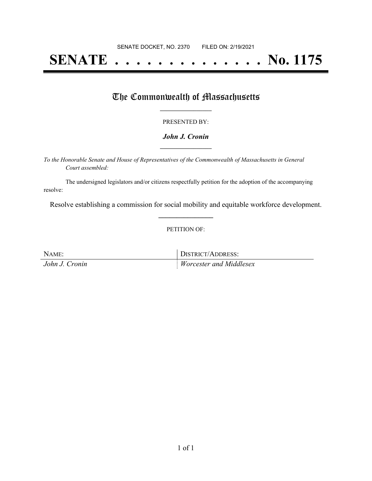# **SENATE . . . . . . . . . . . . . . No. 1175**

### The Commonwealth of Massachusetts

#### PRESENTED BY:

#### *John J. Cronin* **\_\_\_\_\_\_\_\_\_\_\_\_\_\_\_\_\_**

*To the Honorable Senate and House of Representatives of the Commonwealth of Massachusetts in General Court assembled:*

The undersigned legislators and/or citizens respectfully petition for the adoption of the accompanying resolve:

Resolve establishing a commission for social mobility and equitable workforce development. **\_\_\_\_\_\_\_\_\_\_\_\_\_\_\_**

PETITION OF:

| NAME:          | DISTRICT/ADDRESS:              |
|----------------|--------------------------------|
| John J. Cronin | <i>Worcester and Middlesex</i> |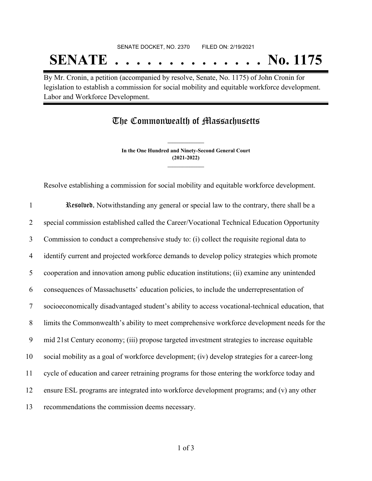## SENATE DOCKET, NO. 2370 FILED ON: 2/19/2021 **SENATE . . . . . . . . . . . . . . No. 1175**

By Mr. Cronin, a petition (accompanied by resolve, Senate, No. 1175) of John Cronin for legislation to establish a commission for social mobility and equitable workforce development. Labor and Workforce Development.

The Commonwealth of Massachusetts

**In the One Hundred and Ninety-Second General Court (2021-2022) \_\_\_\_\_\_\_\_\_\_\_\_\_\_\_**

**\_\_\_\_\_\_\_\_\_\_\_\_\_\_\_**

Resolve establishing a commission for social mobility and equitable workforce development.

| $\mathbf{1}$ | Resolved, Notwithstanding any general or special law to the contrary, there shall be a           |
|--------------|--------------------------------------------------------------------------------------------------|
| 2            | special commission established called the Career/Vocational Technical Education Opportunity      |
| 3            | Commission to conduct a comprehensive study to: (i) collect the requisite regional data to       |
| 4            | identify current and projected workforce demands to develop policy strategies which promote      |
| 5            | cooperation and innovation among public education institutions; (ii) examine any unintended      |
| 6            | consequences of Massachusetts' education policies, to include the underrepresentation of         |
| $\tau$       | socioeconomically disadvantaged student's ability to access vocational-technical education, that |
| 8            | limits the Commonwealth's ability to meet comprehensive workforce development needs for the      |
| 9            | mid 21st Century economy; (iii) propose targeted investment strategies to increase equitable     |
| 10           | social mobility as a goal of workforce development; (iv) develop strategies for a career-long    |
| 11           | cycle of education and career retraining programs for those entering the workforce today and     |
| 12           | ensure ESL programs are integrated into workforce development programs; and (v) any other        |
| 13           | recommendations the commission deems necessary.                                                  |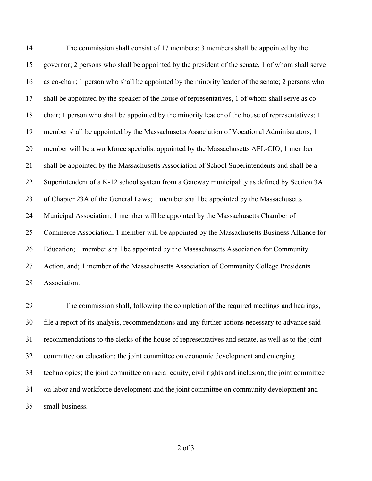The commission shall consist of 17 members: 3 members shall be appointed by the governor; 2 persons who shall be appointed by the president of the senate, 1 of whom shall serve as co-chair; 1 person who shall be appointed by the minority leader of the senate; 2 persons who shall be appointed by the speaker of the house of representatives, 1 of whom shall serve as co- chair; 1 person who shall be appointed by the minority leader of the house of representatives; 1 member shall be appointed by the Massachusetts Association of Vocational Administrators; 1 member will be a workforce specialist appointed by the Massachusetts AFL-CIO; 1 member shall be appointed by the Massachusetts Association of School Superintendents and shall be a Superintendent of a K-12 school system from a Gateway municipality as defined by Section 3A of Chapter 23A of the General Laws; 1 member shall be appointed by the Massachusetts Municipal Association; 1 member will be appointed by the Massachusetts Chamber of Commerce Association; 1 member will be appointed by the Massachusetts Business Alliance for Education; 1 member shall be appointed by the Massachusetts Association for Community Action, and; 1 member of the Massachusetts Association of Community College Presidents Association.

 The commission shall, following the completion of the required meetings and hearings, file a report of its analysis, recommendations and any further actions necessary to advance said recommendations to the clerks of the house of representatives and senate, as well as to the joint committee on education; the joint committee on economic development and emerging technologies; the joint committee on racial equity, civil rights and inclusion; the joint committee on labor and workforce development and the joint committee on community development and small business.